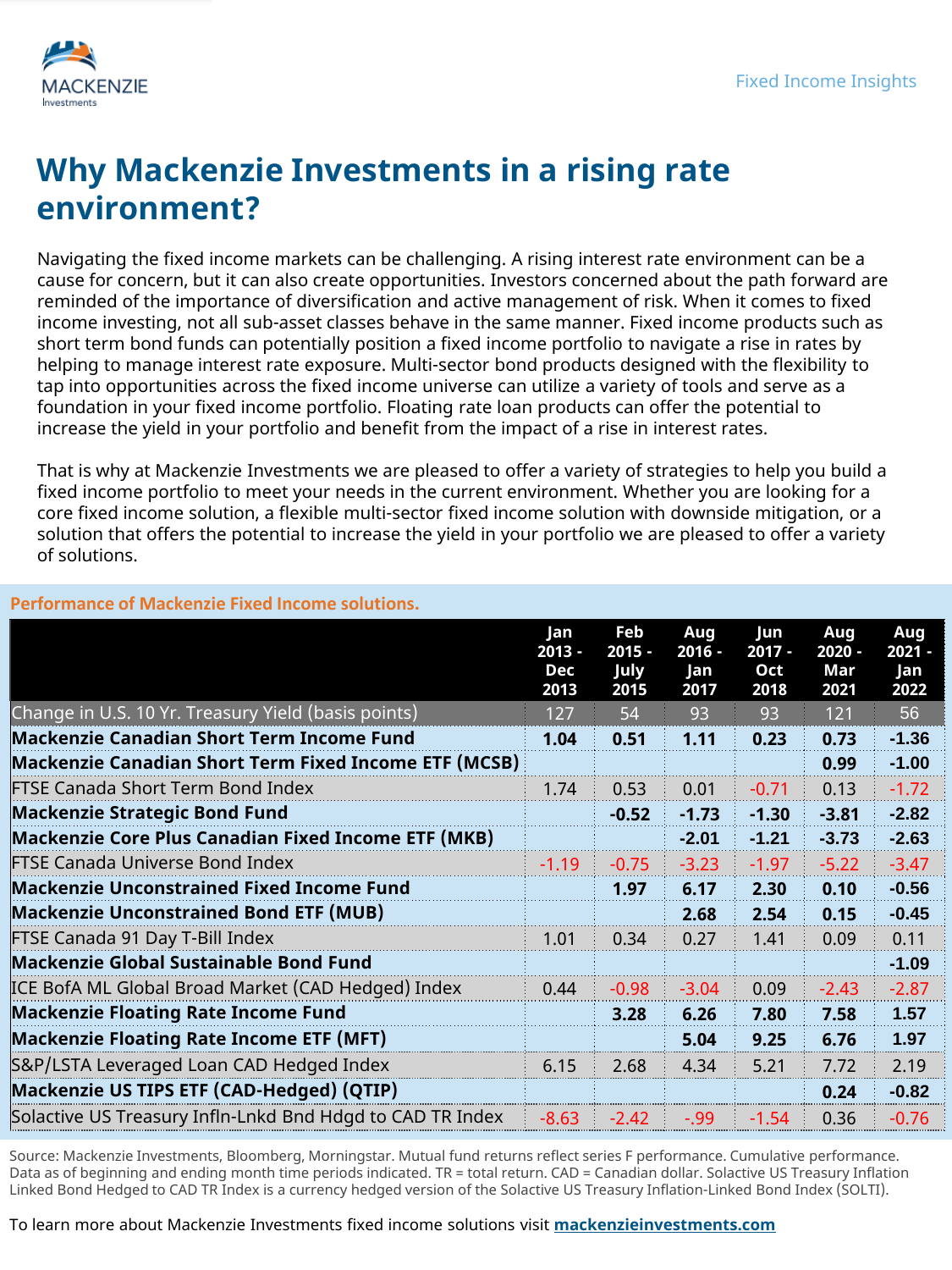

## **Why Mackenzie Investments in a rising rate environment?**

Navigating the fixed income markets can be challenging. A rising interest rate environment can be a cause for concern, but it can also create opportunities. Investors concerned about the path forward are reminded of the importance of diversification and active management of risk. When it comes to fixed income investing, not all sub-asset classes behave in the same manner. Fixed income products such as short term bond funds can potentially position a fixed income portfolio to navigate a rise in rates by helping to manage interest rate exposure. Multi-sector bond products designed with the flexibility to tap into opportunities across the fixed income universe can utilize a variety of tools and serve as a foundation in your fixed income portfolio. Floating rate loan products can offer the potential to increase the yield in your portfolio and benefit from the impact of a rise in interest rates.

That is why at Mackenzie Investments we are pleased to offer a variety of strategies to help you build a fixed income portfolio to meet your needs in the current environment. Whether you are looking for a core fixed income solution, a flexible multi-sector fixed income solution with downside mitigation, or a solution that offers the potential to increase the yield in your portfolio we are pleased to offer a variety of solutions.

|                                                           | Jan<br>$2013 -$<br>Dec<br>2013 | Feb<br>$2015 -$<br>July<br>2015 | Aug<br>$2016 -$<br>Jan<br>2017 | lun<br>$2017 -$<br>Oct<br>2018 | Aug<br>$2020 -$<br>Mar<br>2021 | Aug<br>$2021 -$<br>Jan<br>2022 |
|-----------------------------------------------------------|--------------------------------|---------------------------------|--------------------------------|--------------------------------|--------------------------------|--------------------------------|
| Change in U.S. 10 Yr. Treasury Yield (basis points)       | 127                            | 54                              | 93                             | 93                             | 121                            | 56                             |
| <b>Mackenzie Canadian Short Term Income Fund</b>          | 1.04                           | 0.51                            | 1.11                           | 0.23                           | 0.73                           | $-1.36$                        |
| Mackenzie Canadian Short Term Fixed Income ETF (MCSB)     |                                |                                 |                                |                                | 0.99                           | $-1.00$                        |
| <b>FTSE Canada Short Term Bond Index</b>                  | 1.74                           | 0.53                            | 0.01                           | $-0.71$                        | 0.13                           | $-1.72$                        |
| <b>Mackenzie Strategic Bond Fund</b>                      |                                | $-0.52$                         | $-1.73$                        | $-1.30$                        | $-3.81$                        | $-2.82$                        |
| Mackenzie Core Plus Canadian Fixed Income ETF (MKB)       |                                |                                 | $-2.01$                        | $-1.21$                        | $-3.73$                        | $-2.63$                        |
| <b>FTSE Canada Universe Bond Index</b>                    | $-1.19$                        | $-0.75$                         | $-3.23$                        | $-1.97$                        | $-5.22$                        | $-3.47$                        |
| <b>Mackenzie Unconstrained Fixed Income Fund</b>          |                                | 1.97                            | 6.17                           | 2.30                           | 0.10                           | $-0.56$                        |
| <b>Mackenzie Unconstrained Bond ETF (MUB)</b>             |                                |                                 | 2.68                           | 2.54                           | 0.15                           | $-0.45$                        |
| FTSE Canada 91 Day T-Bill Index                           | 1.01                           | 0.34                            | 0.27                           | 1.41                           | 0.09                           | 0.11                           |
| <b>Mackenzie Global Sustainable Bond Fund</b>             |                                |                                 |                                |                                |                                | $-1.09$                        |
| ICE BofA ML Global Broad Market (CAD Hedged) Index        | 0.44                           | $-0.98$                         | $-3.04$                        | 0.09                           | $-2.43$                        | $-2.87$                        |
| <b>Mackenzie Floating Rate Income Fund</b>                |                                | 3.28                            | 6.26                           | 7.80                           | 7.58                           | 1.57                           |
| <b>Mackenzie Floating Rate Income ETF (MFT)</b>           |                                |                                 | 5.04                           | 9.25                           | 6.76                           | 1.97                           |
| S&P/LSTA Leveraged Loan CAD Hedged Index                  | 6.15                           | 2.68                            | 4.34                           | 5.21                           | 7.72                           | 2.19                           |
| Mackenzie US TIPS ETF (CAD-Hedged) (QTIP)                 |                                |                                 |                                |                                | 0.24                           | $-0.82$                        |
| Solactive US Treasury Infln-Lnkd Bnd Hdgd to CAD TR Index | $-8.63$                        | $-2.42$                         | $-0.99$                        | $-1.54$                        | 0.36                           | $-0.76$                        |

## **Performance of Mackenzie Fixed Income solutions.**

Source: Mackenzie Investments, Bloomberg, Morningstar. Mutual fund returns reflect series F performance. Cumulative performance. Data as of beginning and ending month time periods indicated. TR = total return. CAD = Canadian dollar. Solactive US Treasury Inflation Linked Bond Hedged to CAD TR Index is a currency hedged version of the Solactive US Treasury Inflation-Linked Bond Index (SOLTI).

To learn more about Mackenzie Investments fixed income solutions visit **[mackenzieinvestments.com](https://www.mackenzieinvestments.com/en/investments/by-asset-class/fixed-income)**